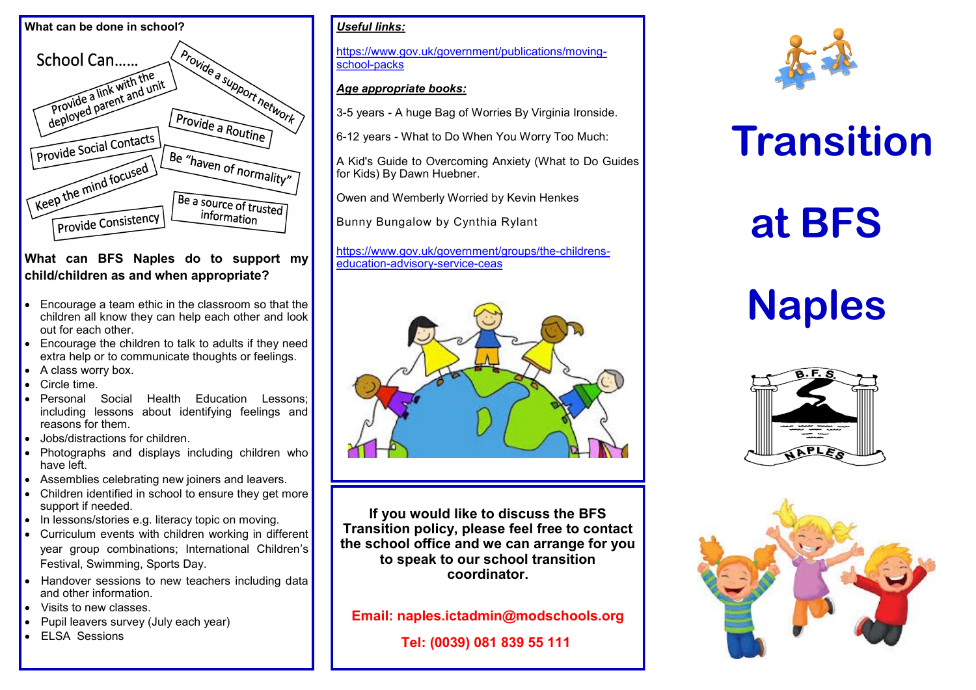

### **What can BFS Naples do to support my child/children as and when appropriate?**

- Encourage a team ethic in the classroom so that the children all know they can help each other and look out for each other.
- Encourage the children to talk to adults if they need extra help or to communicate thoughts or feelings.
- A class worry box.
- Circle time.
- Personal Social Health Education Lessons; including lessons about identifying feelings and reasons for them.
- Jobs/distractions for children.
- Photographs and displays including children who have left.
- Assemblies celebrating new joiners and leavers.
- Children identified in school to ensure they get more support if needed.
- In lessons/stories e.g. literacy topic on moving.
- Curriculum events with children working in different year group combinations; International Children's Festival, Swimming, Sports Day.
- Handover sessions to new teachers including data and other information.
- Visits to new classes.
- Pupil leavers survey (July each year)
- ELSA Sessions

## *Useful links:*

https://www.gov.uk/government/publications/movingschool-packs

### *Age appropriate books:*

3-5 years - A huge Bag of Worries By Virginia Ironside.

6-12 years - What to Do When You Worry Too Much:

A Kid's Guide to Overcoming Anxiety (What to Do Guides for Kids) By Dawn Huebner.

[Owen](http://amzn.to/2r2Cgy3) and [Wemberly Worried](http://amzn.to/2pkFWxZ) by Kevin Henkes

[Bunny Bungalow](http://amzn.to/2q3pfWA) by Cynthia Rylant

[https://www.gov.uk/government/groups/the](https://www.gov.uk/government/groups/the-childrens-education-advisory-service-ceas)-childrens[education](https://www.gov.uk/government/groups/the-childrens-education-advisory-service-ceas)-advisory-service-ceas



**If you would like to discuss the BFS Transition policy, please feel free to contact the school office and we can arrange for you to speak to our school transition coordinator.**

**Email: naples.ictadmin@modschools.org** 

**Tel: (0039) 081 839 55 111**



# **Transition**

# **at BFS**

# **Naples**